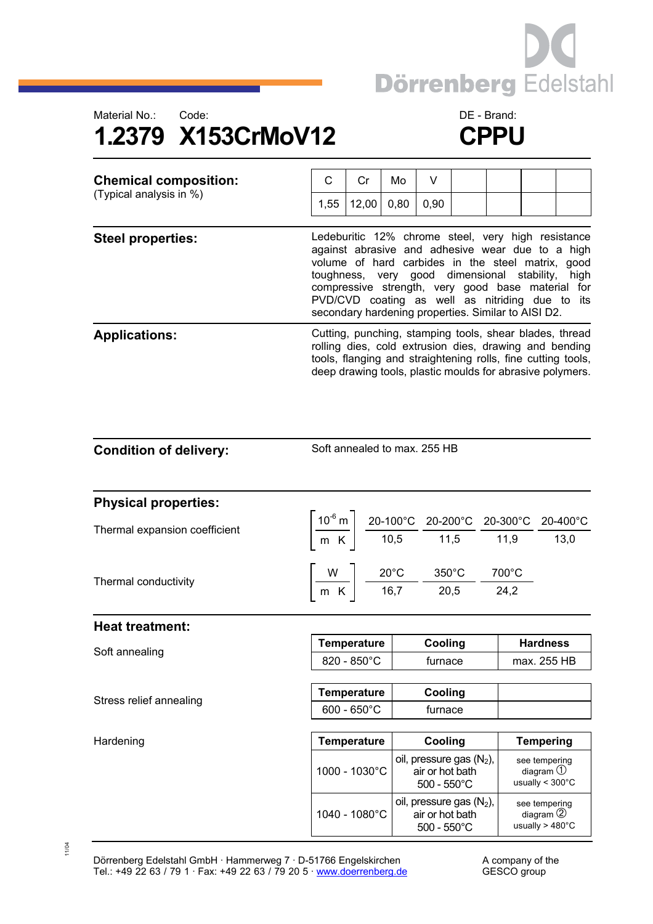



| <b>Chemical composition:</b><br>(Typical analysis in %) | С                                                                                                                                                                                                                                                                                                                                                                         | Cr    | Mo   | V    |  |  |                                                        |                                                                                                                                                                                      |
|---------------------------------------------------------|---------------------------------------------------------------------------------------------------------------------------------------------------------------------------------------------------------------------------------------------------------------------------------------------------------------------------------------------------------------------------|-------|------|------|--|--|--------------------------------------------------------|--------------------------------------------------------------------------------------------------------------------------------------------------------------------------------------|
|                                                         | 1,55                                                                                                                                                                                                                                                                                                                                                                      | 12,00 | 0,80 | 0,90 |  |  |                                                        |                                                                                                                                                                                      |
| <b>Steel properties:</b>                                | Ledeburitic 12% chrome steel, very high resistance<br>against abrasive and adhesive wear due to a high<br>volume of hard carbides in the steel matrix, good<br>toughness, very good dimensional stability,<br>compressive strength, very good base material for<br>PVD/CVD coating as well as nitriding due to its<br>secondary hardening properties. Similar to AISI D2. |       |      |      |  |  | high                                                   |                                                                                                                                                                                      |
| <b>Applications:</b>                                    |                                                                                                                                                                                                                                                                                                                                                                           |       |      |      |  |  | rolling dies, cold extrusion dies, drawing and bending | Cutting, punching, stamping tools, shear blades, thread<br>tools, flanging and straightening rolls, fine cutting tools,<br>deep drawing tools, plastic moulds for abrasive polymers. |

Soft annealed to max. 255 HB

| <b>Physical properties:</b>   |             |                |                                     |       |      |
|-------------------------------|-------------|----------------|-------------------------------------|-------|------|
| Thermal expansion coefficient | $10^{-6}$ m |                | 20-100°C 20-200°C 20-300°C 20-400°C |       |      |
|                               | $m$ K       | 10,5           | 11,5                                | 11,9  | 13,0 |
|                               | W           | $20^{\circ}$ C | $350^{\circ}$ C                     | 700°C |      |
| Thermal conductivity          | m K         | 16,7           | 20,5                                | 24,2  |      |
|                               |             |                |                                     |       |      |

| <b>Heat treatment:</b> |                       |         |                 |
|------------------------|-----------------------|---------|-----------------|
|                        | Temperature           | Coolina | <b>Hardness</b> |
| Soft annealing         | $820 - 850^{\circ}$ C | furnace | max. 255 HB     |
|                        |                       |         |                 |

|  |  | Stress relief annealing |  |
|--|--|-------------------------|--|
|--|--|-------------------------|--|

| <b>0011 01111001111</b> | $820 - 850^{\circ}$ C | turnace | max. 255 HB |
|-------------------------|-----------------------|---------|-------------|
|                         | Temperature           | Cooling |             |
| Stress relief annealing | $600 - 650^{\circ}$ C | furnace |             |

| Hardening | <b>Temperature</b>     | Cooling                                                                 | <b>Tempering</b>                                                       |
|-----------|------------------------|-------------------------------------------------------------------------|------------------------------------------------------------------------|
|           | $1000 - 1030^{\circ}C$ | oil, pressure gas $(N_2)$ ,<br>air or hot bath<br>$500 - 550^{\circ}$ C | see tempering<br>diagram $\bigcirc$<br>usually $< 300^{\circ}$ C       |
|           | 1040 - 1080°C          | oil, pressure gas $(N_2)$ ,<br>air or hot bath<br>$500 - 550^{\circ}$ C | see tempering<br>diagram $\circled{2}$<br>usually $>$ 480 $^{\circ}$ C |